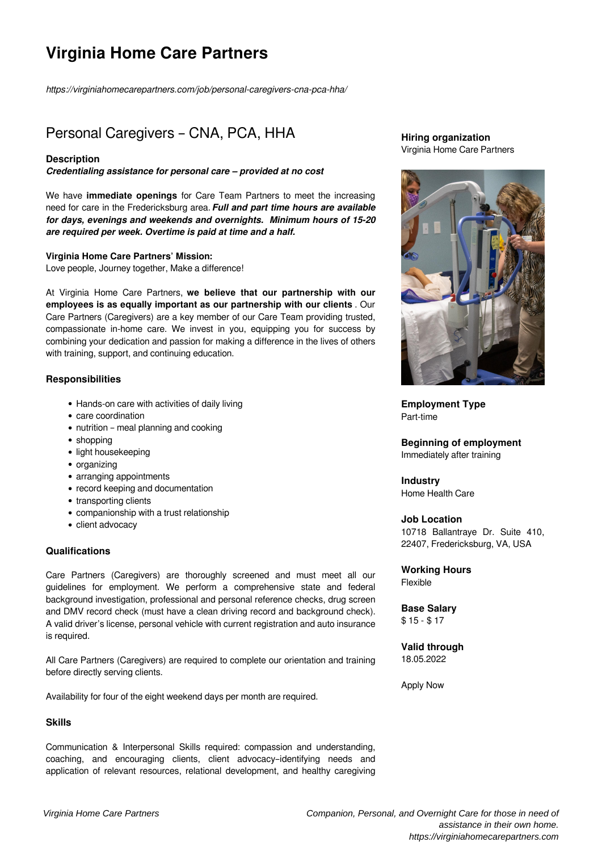# **Virginia Home Care Partners**

*https://virginiahomecarepartners.com/job/personal-caregivers-cna-pca-hha/*

# Personal Caregivers – CNA, PCA, HHA

#### **Description**

*Credentialing assistance for personal care – provided at no cost* 

We have **immediate openings** for Care Team Partners to meet the increasing need for care in the Fredericksburg area. *Full and part time hours are available for days, evenings and weekends and overnights. Minimum hours of 15-20 are required per week. Overtime is paid at time and a half.*

#### **Virginia Home Care Partners' Mission:**

Love people, Journey together, Make a difference!

At Virginia Home Care Partners, **we believe that our partnership with our employees is as equally important as our partnership with our clients** . Our Care Partners (Caregivers) are a key member of our Care Team providing trusted, compassionate in-home care. We invest in you, equipping you for success by combining your dedication and passion for making a difference in the lives of others with training, support, and continuing education.

#### **Responsibilities**

- Hands-on care with activities of daily living
- care coordination
- nutrition meal planning and cooking
- $\bullet$  shopping
- light housekeeping
- organizing
- arranging appointments
- record keeping and documentation
- transporting clients
- companionship with a trust relationship
- client advocacy

# **Qualifications**

Care Partners (Caregivers) are thoroughly screened and must meet all our guidelines for employment. We perform a comprehensive state and federal background investigation, professional and personal reference checks, drug screen and DMV record check (must have a clean driving record and background check). A valid driver's license, personal vehicle with current registration and auto insurance is required.

All Care Partners (Caregivers) are required to complete our orientation and training before directly serving clients.

Availability for four of the eight weekend days per month are required.

# **Skills**

Communication & Interpersonal Skills required: compassion and understanding, coaching, and encouraging clients, client advocacy–identifying needs and application of relevant resources, relational development, and healthy caregiving

### **Hiring organization** Virginia Home Care Partners



**Employment Type** Part-time

**Beginning of employment** Immediately after training

**Industry** Home Health Care

#### **Job Location**

10718 Ballantraye Dr. Suite 410, 22407, Fredericksburg, VA, USA

#### **Working Hours** Flexible

**Base Salary** \$ 15 - \$ 17

#### **Valid through** 18.05.2022

Apply Now